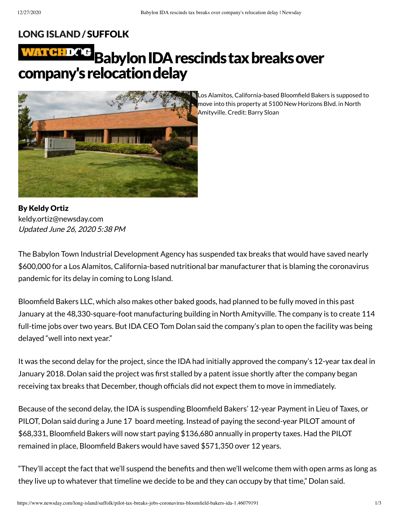## LONG [ISLAND](https://www.newsday.com/long-island) / [SUFFOLK](https://www.newsday.com/long-island/suffolk)

# WATHEDCE Babylon IDA rescinds tax breaks over company's relocation delay



Los Alamitos, California-based Bloomfield Bakers is supposed to move into this property at 5100 New Horizons Blvd. in North Amityville. Credit: Barry Sloan

By Keldy Ortiz Updated June 26, 2020 5:38 PM [keldy.ortiz@newsday.com](mailto:keldy.ortiz@newsday.com?subject=Babylon%20IDA%20rescinds%20tax%20breaks%20over%20company%27s%20relocation%20delay&body=The%20Babylon%20Town%20Industrial%20Development%20Agency%20has%20suspended%20tax%20breaks%20that%20would%20have%20saved%20nearly%20$600,000%20for%20a%20Los%20Alamitos,%20California-based%20nutritional%20bar%20manufacturer%20that%20is%20blaming%20the%20coro%0D%0Ahttps://www.newsday.com/long-island/suffolk/pilot-tax-breaks-jobs-coronavirus-bloomfield-bakers-ida-1.46079191)

The Babylon Town Industrial Development Agency has suspended tax breaks that would have saved nearly \$600,000 for a Los Alamitos, California-based nutritional bar manufacturer that is blaming the coronavirus pandemic for its delay in coming to Long Island.

Bloomfield Bakers LLC, which also makes other baked goods, had planned to be fully moved in this past January at the 48,330-square-foot manufacturing building in North Amityville. The company is to create 114 full-time jobs over two years. But IDA CEO Tom Dolan said the company's plan to open the facility was being delayed "well into next year."

It was the second delay for the project, since the IDA had initially approved the company's 12-year tax deal in January 2018. Dolan said the project was first stalled by a patent issue shortly after the company began receiving tax breaks that December, though officials did not expect them to move in immediately.

Because of the second delay, the IDA is suspending Bloomfield Bakers' 12-year Payment in Lieu of Taxes, or PILOT, Dolan said during a June 17 board meeting. Instead of paying the second-year PILOT amount of \$68,331, Bloomfield Bakers will now start paying \$136,680 annually in property taxes. Had the PILOT remained in place, Bloomfield Bakers would have saved \$571,350 over 12 years.

"They'll accept the fact that we'll suspend the benefits and then we'll welcome them with open arms as long as they live up to whatever that timeline we decide to be and they can occupy by that time," Dolan said.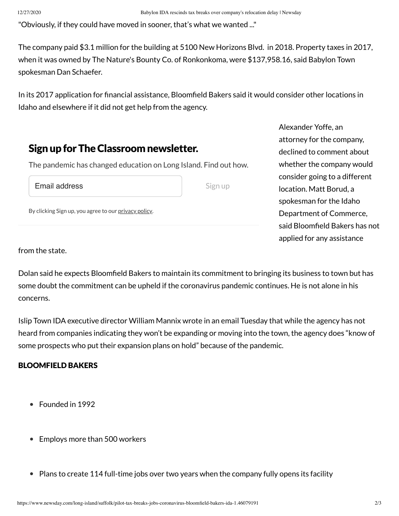"Obviously, if they could have moved in sooner, that's what we wanted ..."

The company paid \$3.1 million for the building at 5100 New Horizons Blvd. in 2018. Property taxes in 2017, when it was owned by The Nature's Bounty Co. of Ronkonkoma, were \$137,958.16, said Babylon Town spokesman Dan Schaefer.

In its 2017 application for financial assistance, Bloomfield Bakers said it would consider other locations in Idaho and elsewhere if it did not get help from the agency.

## Sign up for The Classroom newsletter.

The pandemic has changed education on Long Island. Find out how.

Email address

Sign up

By clicking Sign up, you agree to our [privacy](https://www.newsday.com/privacy) policy.

Alexander Yoffe, an attorney for the company, declined to comment about whether the company would consider going to a different location. Matt Borud, a spokesman for the Idaho Department of Commerce, said Bloomfield Bakers has not applied for any assistance

from the state.

Dolan said he expects Bloomfield Bakers to maintain its commitment to bringing its business to town but has some doubt the commitment can be upheld if the coronavirus pandemic continues. He is not alone in his concerns.

Islip Town IDA executive director William Mannix wrote in an email Tuesday that while the agency has not heard from companies indicating they won't be expanding or moving into the town, the agency does "know of some prospects who put their expansion plans on hold" because of the pandemic.

## BLOOMFIELD BAKERS

- Founded in 1992
- Employs more than 500 workers
- $\bullet$  Plans to create 114 full-time jobs over two years when the company fully opens its facility